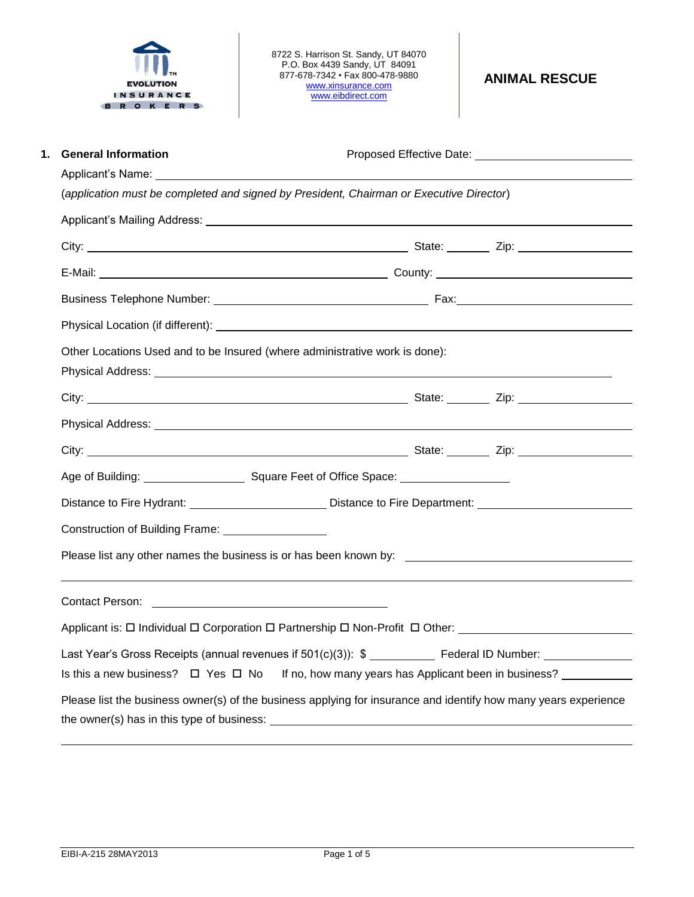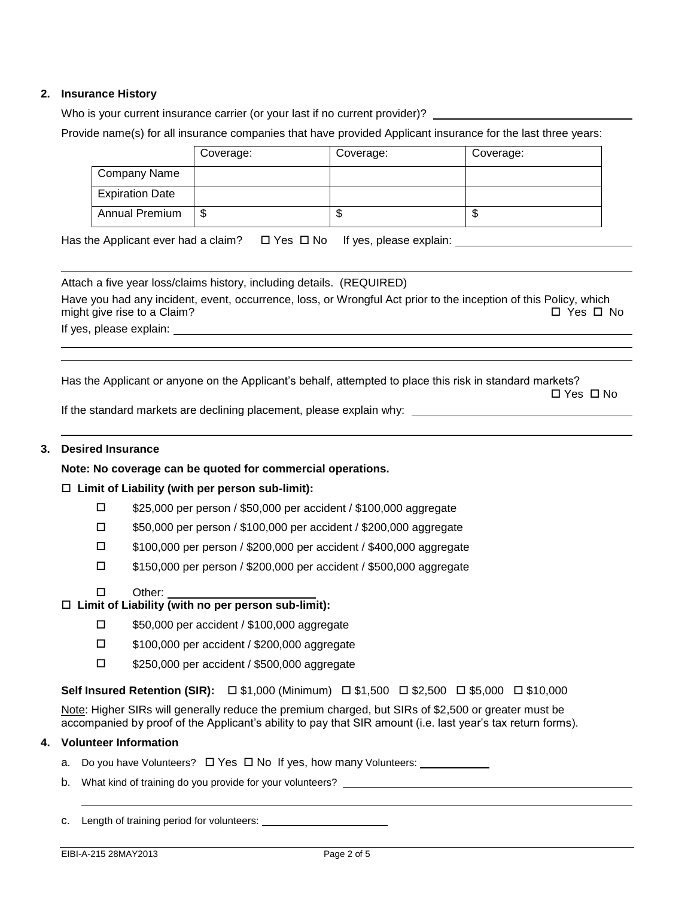# **2. Insurance History**

Who is your current insurance carrier (or your last if no current provider)?

Provide name(s) for all insurance companies that have provided Applicant insurance for the last three years:

|                        | Coverage: | Coverage: | Coverage: |
|------------------------|-----------|-----------|-----------|
| Company Name           |           |           |           |
| <b>Expiration Date</b> |           |           |           |
| Annual Premium         | S         | ۰D        | Ψ         |

Has the Applicant ever had a claim?  $\Box$  Yes  $\Box$  No If yes, please explain:  $\Box$ 

Attach a five year loss/claims history, including details. (REQUIRED) Have you had any incident, event, occurrence, loss, or Wrongful Act prior to the inception of this Policy, which might give rise to a Claim?  $\Box$  Yes  $\Box$  No

If yes, please explain:

Has the Applicant or anyone on the Applicant's behalf, attempted to place this risk in standard markets?

Yes No

If the standard markets are declining placement, please explain why:

### **3. Desired Insurance**

#### **Note: No coverage can be quoted for commercial operations.**

# **Limit of Liability (with per person sub-limit):**

- \$25,000 per person / \$50,000 per accident / \$100,000 aggregate
- \$50,000 per person / \$100,000 per accident / \$200,000 aggregate
- \$100,000 per person / \$200,000 per accident / \$400,000 aggregate
- \$150,000 per person / \$200,000 per accident / \$500,000 aggregate
- □ Other:

# **Limit of Liability (with no per person sub-limit):**

- \$50,000 per accident / \$100,000 aggregate
- □ \$100,000 per accident / \$200,000 aggregate
- □ \$250,000 per accident / \$500,000 aggregate

**Self Insured Retention (SIR):** □ \$1,000 (Minimum) □ \$1,500 □ \$2,500 □ \$5,000 □ \$10,000

Note: Higher SIRs will generally reduce the premium charged, but SIRs of \$2,500 or greater must be accompanied by proof of the Applicant's ability to pay that SIR amount (i.e. last year's tax return forms).

### **4. Volunteer Information**

- a. Do you have Volunteers?  $\Box$  Yes  $\Box$  No If yes, how many Volunteers:
- b. What kind of training do you provide for your volunteers?

c. Length of training period for volunteers: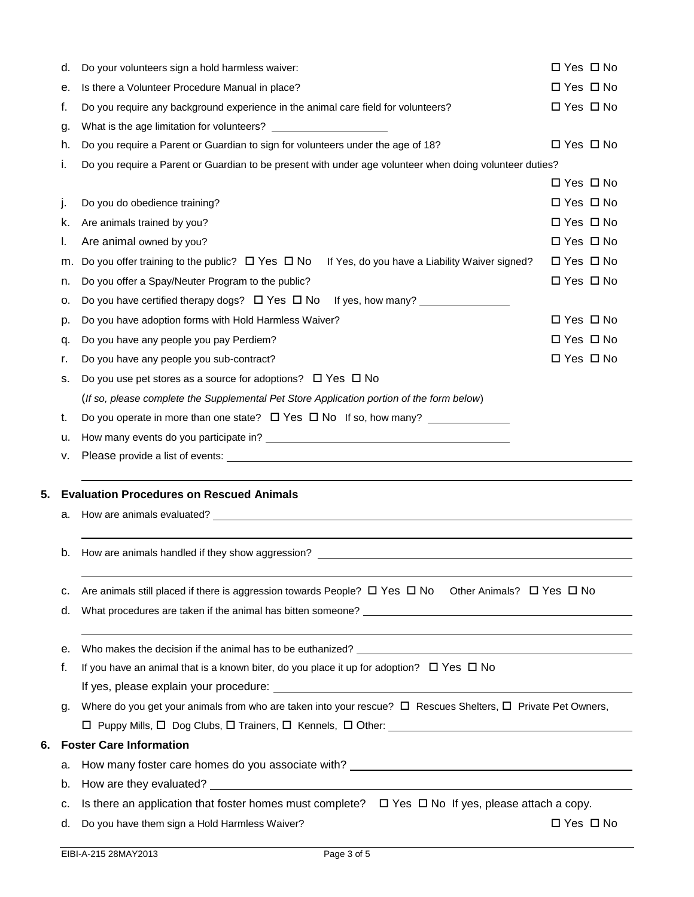|    | d.       | Do your volunteers sign a hold harmless waiver:                                                                                                                                                                                | $\Box$ Yes $\Box$ No |  |  |
|----|----------|--------------------------------------------------------------------------------------------------------------------------------------------------------------------------------------------------------------------------------|----------------------|--|--|
|    | е.       | Is there a Volunteer Procedure Manual in place?                                                                                                                                                                                | □ Yes □ No           |  |  |
|    | f.       | Do you require any background experience in the animal care field for volunteers?                                                                                                                                              | $\Box$ Yes $\Box$ No |  |  |
|    | g.       | What is the age limitation for volunteers?                                                                                                                                                                                     |                      |  |  |
|    | h.       | Do you require a Parent or Guardian to sign for volunteers under the age of 18?                                                                                                                                                | $\Box$ Yes $\Box$ No |  |  |
|    | i.       | Do you require a Parent or Guardian to be present with under age volunteer when doing volunteer duties?                                                                                                                        |                      |  |  |
|    |          |                                                                                                                                                                                                                                | $\Box$ Yes $\Box$ No |  |  |
|    | j.       | Do you do obedience training?                                                                                                                                                                                                  | $\Box$ Yes $\Box$ No |  |  |
|    | k.       | Are animals trained by you?                                                                                                                                                                                                    | □ Yes □ No           |  |  |
|    | I.       | Are animal owned by you?                                                                                                                                                                                                       | $\Box$ Yes $\Box$ No |  |  |
|    | m.       | If Yes, do you have a Liability Waiver signed?<br>Do you offer training to the public? $\Box$ Yes $\Box$ No                                                                                                                    | $\Box$ Yes $\Box$ No |  |  |
|    | n.       | Do you offer a Spay/Neuter Program to the public?                                                                                                                                                                              | $\Box$ Yes $\Box$ No |  |  |
|    | о.       | Do you have certified therapy dogs? $\Box$ Yes $\Box$ No If yes, how many?                                                                                                                                                     |                      |  |  |
|    | p.       | Do you have adoption forms with Hold Harmless Waiver?                                                                                                                                                                          | $\Box$ Yes $\Box$ No |  |  |
|    | q.       | Do you have any people you pay Perdiem?                                                                                                                                                                                        | $\Box$ Yes $\Box$ No |  |  |
|    | r.       | Do you have any people you sub-contract?                                                                                                                                                                                       | $\Box$ Yes $\Box$ No |  |  |
|    | s.       | Do you use pet stores as a source for adoptions? $\Box$ Yes $\Box$ No                                                                                                                                                          |                      |  |  |
|    |          | (If so, please complete the Supplemental Pet Store Application portion of the form below)                                                                                                                                      |                      |  |  |
|    | t.       | Do you operate in more than one state? $\Box$ Yes $\Box$ No If so, how many?                                                                                                                                                   |                      |  |  |
|    | u.       |                                                                                                                                                                                                                                |                      |  |  |
|    |          |                                                                                                                                                                                                                                |                      |  |  |
|    | v.       |                                                                                                                                                                                                                                |                      |  |  |
|    |          |                                                                                                                                                                                                                                |                      |  |  |
|    |          | <b>Evaluation Procedures on Rescued Animals</b>                                                                                                                                                                                |                      |  |  |
| 5. | а.       | How are animals evaluated? Letters and the second contract of the second contract of the second contract of the second contract of the second contract of the second contract of the second contract of the second contract of |                      |  |  |
|    |          |                                                                                                                                                                                                                                |                      |  |  |
|    | b.       |                                                                                                                                                                                                                                |                      |  |  |
|    |          |                                                                                                                                                                                                                                |                      |  |  |
|    | c.       | Are animals still placed if there is aggression towards People? $\Box$ Yes $\Box$ No Other Animals? $\Box$ Yes $\Box$ No                                                                                                       |                      |  |  |
|    | d.       |                                                                                                                                                                                                                                |                      |  |  |
|    |          |                                                                                                                                                                                                                                |                      |  |  |
|    | е.<br>f. | Who makes the decision if the animal has to be euthanized? Letter and the state of the state of the state of the state of the state of the state of the state of the state of the state of the state of the state of the state |                      |  |  |
|    |          | If you have an animal that is a known biter, do you place it up for adoption? $\Box$ Yes $\Box$ No                                                                                                                             |                      |  |  |
|    | g.       |                                                                                                                                                                                                                                |                      |  |  |
|    |          | Where do you get your animals from who are taken into your rescue? $\Box$ Rescues Shelters, $\Box$ Private Pet Owners,                                                                                                         |                      |  |  |
| 6. |          | <b>Foster Care Information</b>                                                                                                                                                                                                 |                      |  |  |
|    | а.       |                                                                                                                                                                                                                                |                      |  |  |
|    | b.       |                                                                                                                                                                                                                                |                      |  |  |
|    | c.       | Is there an application that foster homes must complete? $\Box$ Yes $\Box$ No If yes, please attach a copy.                                                                                                                    |                      |  |  |
|    | d.       | Do you have them sign a Hold Harmless Waiver?                                                                                                                                                                                  | $\Box$ Yes $\Box$ No |  |  |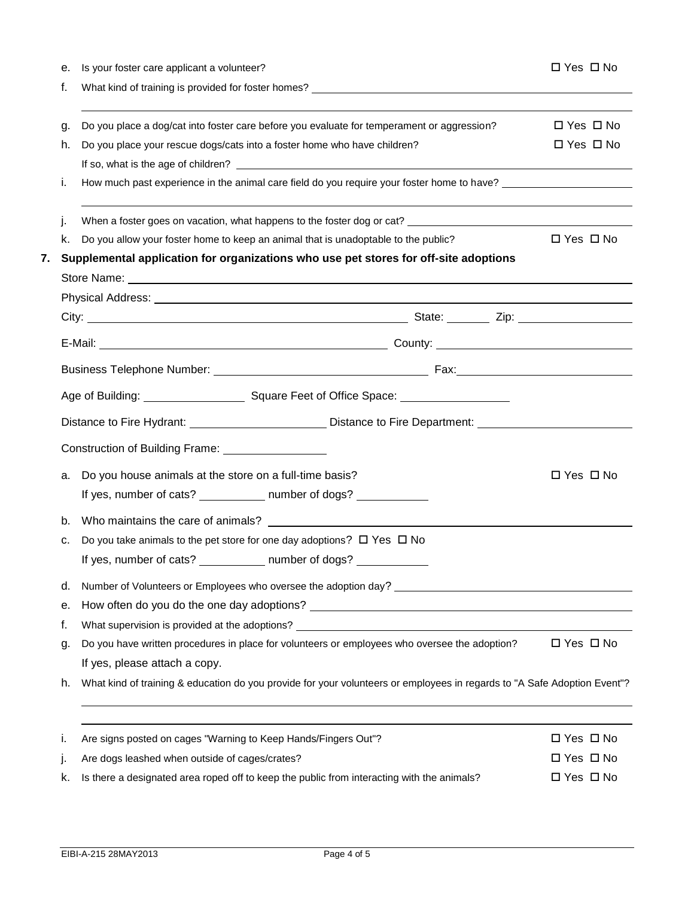|    | е. | Is your foster care applicant a volunteer?                                                                                                                                                                                           | □ Yes □ No           |
|----|----|--------------------------------------------------------------------------------------------------------------------------------------------------------------------------------------------------------------------------------------|----------------------|
|    | f. | What kind of training is provided for foster homes?<br>The manufacturer of the contract of the contract of the contract of the contract of the contract of the contract of the contract of the contract of the contract of the c     |                      |
|    |    |                                                                                                                                                                                                                                      |                      |
|    | g. | Do you place a dog/cat into foster care before you evaluate for temperament or aggression?                                                                                                                                           | $\Box$ Yes $\Box$ No |
|    | h. | Do you place your rescue dogs/cats into a foster home who have children?                                                                                                                                                             | $\Box$ Yes $\Box$ No |
|    |    |                                                                                                                                                                                                                                      |                      |
|    | i. | How much past experience in the animal care field do you require your foster home to have?                                                                                                                                           |                      |
|    | j. | When a foster goes on vacation, what happens to the foster dog or cat?                                                                                                                                                               |                      |
|    | k. | Do you allow your foster home to keep an animal that is unadoptable to the public?                                                                                                                                                   | $\Box$ Yes $\Box$ No |
| 7. |    | Supplemental application for organizations who use pet stores for off-site adoptions                                                                                                                                                 |                      |
|    |    | Store Name: <u>example and a series of the series of the series of the series of the series of the series of the series of the series of the series of the series of the series of the series of the series of the series of the</u> |                      |
|    |    | Physical Address: Note and the Contract of the Contract of the Contract of the Contract of the Contract of the                                                                                                                       |                      |
|    |    |                                                                                                                                                                                                                                      |                      |
|    |    |                                                                                                                                                                                                                                      |                      |
|    |    |                                                                                                                                                                                                                                      |                      |
|    |    |                                                                                                                                                                                                                                      |                      |
|    |    | Distance to Fire Hydrant: ________________________________Distance to Fire Department: _______________________                                                                                                                       |                      |
|    |    | Construction of Building Frame: ___________________                                                                                                                                                                                  |                      |
|    | a. | Do you house animals at the store on a full-time basis?                                                                                                                                                                              | □ Yes □ No           |
|    |    | If yes, number of cats? _____________ number of dogs? ____________                                                                                                                                                                   |                      |
|    |    |                                                                                                                                                                                                                                      |                      |
|    | b. | Who maintains the care of animals? The state of an intervals of the state of an image of an image of an image of $\sim$                                                                                                              |                      |
|    | c. | Do you take animals to the pet store for one day adoptions? $\Box$ Yes $\Box$ No                                                                                                                                                     |                      |
|    |    | If yes, number of cats? _____________ number of dogs? __________________________                                                                                                                                                     |                      |
|    | d. |                                                                                                                                                                                                                                      |                      |
|    | е. |                                                                                                                                                                                                                                      |                      |
|    | f. | What supervision is provided at the adoptions?                                                                                                                                                                                       |                      |
|    | g. | Do you have written procedures in place for volunteers or employees who oversee the adoption?                                                                                                                                        | $\Box$ Yes $\Box$ No |
|    |    | If yes, please attach a copy.                                                                                                                                                                                                        |                      |
|    | h. | What kind of training & education do you provide for your volunteers or employees in regards to "A Safe Adoption Event"?                                                                                                             |                      |
|    |    |                                                                                                                                                                                                                                      |                      |
|    | i. | Are signs posted on cages "Warning to Keep Hands/Fingers Out"?                                                                                                                                                                       | □ Yes □ No           |
|    | j. | Are dogs leashed when outside of cages/crates?                                                                                                                                                                                       | □ Yes □ No           |
|    | k. | Is there a designated area roped off to keep the public from interacting with the animals?                                                                                                                                           | □ Yes □ No           |